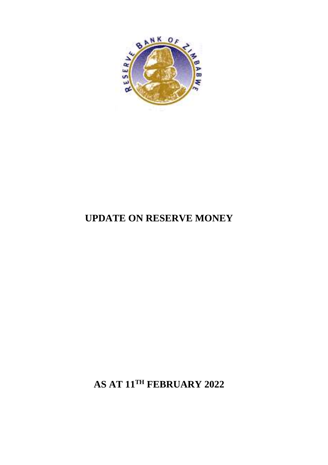

## **UPDATE ON RESERVE MONEY**

**AS AT 11TH FEBRUARY 2022**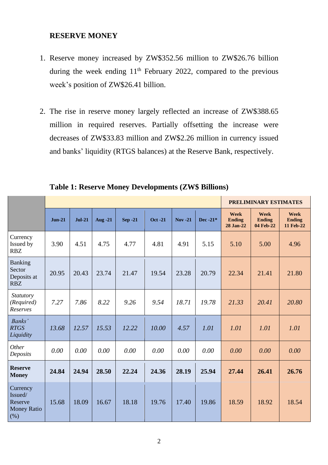## **RESERVE MONEY**

- 1. Reserve money increased by ZW\$352.56 million to ZW\$26.76 billion during the week ending  $11<sup>th</sup>$  February 2022, compared to the previous week's position of ZW\$26.41 billion.
- 2. The rise in reserve money largely reflected an increase of ZW\$388.65 million in required reserves. Partially offsetting the increase were decreases of ZW\$33.83 million and ZW\$2.26 million in currency issued and banks' liquidity (RTGS balances) at the Reserve Bank, respectively.

|                                                              |          |          |         |                |                |            |             | <b>PRELIMINARY ESTIMATES</b>       |                                    |                                    |  |
|--------------------------------------------------------------|----------|----------|---------|----------------|----------------|------------|-------------|------------------------------------|------------------------------------|------------------------------------|--|
|                                                              | $Jun-21$ | $Jul-21$ | Aug -21 | <b>Sep -21</b> | <b>Oct -21</b> | $Nov - 21$ | Dec -21 $*$ | Week<br><b>Ending</b><br>28 Jan-22 | Week<br><b>Ending</b><br>04 Feb-22 | Week<br><b>Ending</b><br>11 Feb-22 |  |
| Currency<br>Issued by<br><b>RBZ</b>                          | 3.90     | 4.51     | 4.75    | 4.77           | 4.81           | 4.91       | 5.15        | 5.10                               | 5.00                               | 4.96                               |  |
| Banking<br>Sector<br>Deposits at<br><b>RBZ</b>               | 20.95    | 20.43    | 23.74   | 21.47          | 19.54          | 23.28      | 20.79       | 22.34                              | 21.41                              | 21.80                              |  |
| Statutory<br>(Required)<br>Reserves                          | 7.27     | 7.86     | 8.22    | 9.26           | 9.54           | 18.71      | 19.78       | 21.33                              | 20.41                              | 20.80                              |  |
| Banks'<br><b>RTGS</b><br>Liquidity                           | 13.68    | 12.57    | 15.53   | 12.22          | 10.00          | 4.57       | 1.01        | 1.01                               | 1.01                               | 1.01                               |  |
| Other<br>Deposits                                            | 0.00     | 0.00     | 0.00    | 0.00           | 0.00           | 0.00       | 0.00        | 0.00                               | 0.00                               | 0.00                               |  |
| <b>Reserve</b><br><b>Money</b>                               | 24.84    | 24.94    | 28.50   | 22.24          | 24.36          | 28.19      | 25.94       | 27.44                              | 26.41                              | 26.76                              |  |
| Currency<br>Issued/<br>Reserve<br><b>Money Ratio</b><br>(% ) | 15.68    | 18.09    | 16.67   | 18.18          | 19.76          | 17.40      | 19.86       | 18.59                              | 18.92                              | 18.54                              |  |

**Table 1: Reserve Money Developments (ZW\$ Billions)**